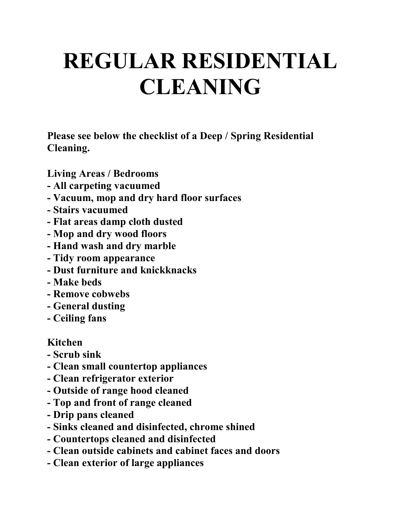## **REGULAR RESIDENTIAL CLEANING**

**Please see below the checklist of a Deep / Spring Residential Cleaning.**

**Living Areas / Bedrooms**

- **- All carpeting vacuumed**
- **- Vacuum, mop and dry hard floor surfaces**
- **- Stairs vacuumed**
- **- Flat areas damp cloth dusted**
- **- Mop and dry wood floors**
- **- Hand wash and dry marble**
- **- Tidy room appearance**
- **- Dust furniture and knickknacks**
- **- Make beds**
- **- Remove cobwebs**
- **- General dusting**
- **- Ceiling fans**

## **Kitchen**

- **- Scrub sink**
- **- Clean small countertop appliances**
- **- Clean refrigerator exterior**
- **- Outside of range hood cleaned**
- **- Top and front of range cleaned**
- **- Drip pans cleaned**
- **- Sinks cleaned and disinfected, chrome shined**
- **- Countertops cleaned and disinfected**
- **- Clean outside cabinets and cabinet faces and doors**
- **- Clean exterior of large appliances**